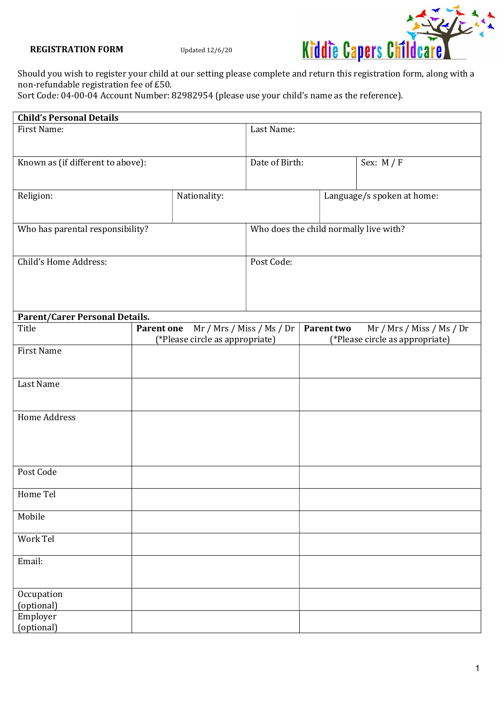

Should you wish to register your child at our setting please complete and return this registration form, along with a non-refundable registration fee of £50.

Sort Code: 04-00-04 Account Number: 82982954 (please use your child's name as the reference).

| <b>Child's Personal Details</b>       |                   |                                 |                                        |  |            |                                 |
|---------------------------------------|-------------------|---------------------------------|----------------------------------------|--|------------|---------------------------------|
| First Name:                           |                   | Last Name:                      |                                        |  |            |                                 |
|                                       |                   |                                 |                                        |  |            |                                 |
|                                       |                   |                                 |                                        |  |            |                                 |
| Known as (if different to above):     |                   |                                 | Date of Birth:                         |  |            | Sex: $M / F$                    |
|                                       |                   |                                 |                                        |  |            |                                 |
| Religion:                             |                   | Nationality:                    |                                        |  |            | Language/s spoken at home:      |
|                                       |                   |                                 |                                        |  |            |                                 |
|                                       |                   |                                 |                                        |  |            |                                 |
| Who has parental responsibility?      |                   |                                 | Who does the child normally live with? |  |            |                                 |
|                                       |                   |                                 |                                        |  |            |                                 |
|                                       |                   |                                 |                                        |  |            |                                 |
| Child's Home Address:                 |                   |                                 | Post Code:                             |  |            |                                 |
|                                       |                   |                                 |                                        |  |            |                                 |
|                                       |                   |                                 |                                        |  |            |                                 |
|                                       |                   |                                 |                                        |  |            |                                 |
| <b>Parent/Carer Personal Details.</b> |                   |                                 |                                        |  |            |                                 |
| Title                                 | <b>Parent one</b> |                                 | Mr / Mrs / Miss / Ms / Dr              |  | Parent two | Mr / Mrs / Miss / Ms / Dr       |
|                                       |                   | (*Please circle as appropriate) |                                        |  |            | (*Please circle as appropriate) |
| <b>First Name</b>                     |                   |                                 |                                        |  |            |                                 |
|                                       |                   |                                 |                                        |  |            |                                 |
| Last Name                             |                   |                                 |                                        |  |            |                                 |
|                                       |                   |                                 |                                        |  |            |                                 |
|                                       |                   |                                 |                                        |  |            |                                 |
| <b>Home Address</b>                   |                   |                                 |                                        |  |            |                                 |
|                                       |                   |                                 |                                        |  |            |                                 |
|                                       |                   |                                 |                                        |  |            |                                 |
|                                       |                   |                                 |                                        |  |            |                                 |
|                                       |                   |                                 |                                        |  |            |                                 |
| Post Code                             |                   |                                 |                                        |  |            |                                 |
| Home Tel                              |                   |                                 |                                        |  |            |                                 |
|                                       |                   |                                 |                                        |  |            |                                 |
| Mobile                                |                   |                                 |                                        |  |            |                                 |
|                                       |                   |                                 |                                        |  |            |                                 |
| Work Tel                              |                   |                                 |                                        |  |            |                                 |
|                                       |                   |                                 |                                        |  |            |                                 |
| Email:                                |                   |                                 |                                        |  |            |                                 |
|                                       |                   |                                 |                                        |  |            |                                 |
|                                       |                   |                                 |                                        |  |            |                                 |
| Occupation<br>(optional)              |                   |                                 |                                        |  |            |                                 |
| Employer                              |                   |                                 |                                        |  |            |                                 |
| (optional)                            |                   |                                 |                                        |  |            |                                 |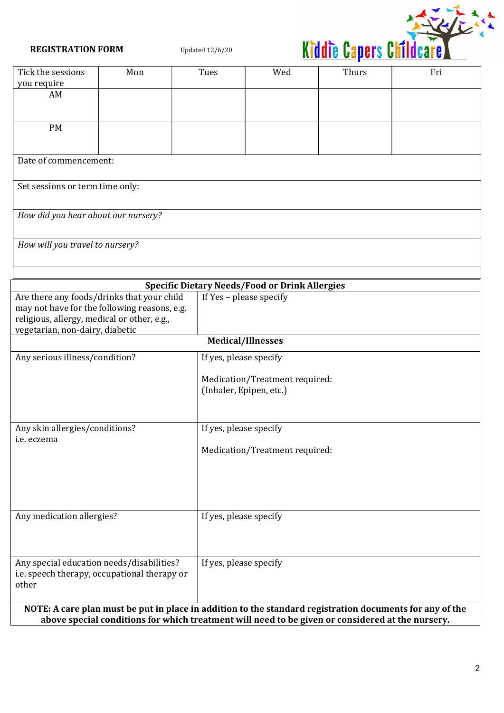

| Tick the sessions                                                                                        | Mon                                          | Tues                   | Wed                                                       | Thurs | Fri |
|----------------------------------------------------------------------------------------------------------|----------------------------------------------|------------------------|-----------------------------------------------------------|-------|-----|
| you require                                                                                              |                                              |                        |                                                           |       |     |
| AM                                                                                                       |                                              |                        |                                                           |       |     |
|                                                                                                          |                                              |                        |                                                           |       |     |
| <b>PM</b>                                                                                                |                                              |                        |                                                           |       |     |
|                                                                                                          |                                              |                        |                                                           |       |     |
|                                                                                                          |                                              |                        |                                                           |       |     |
| Date of commencement:                                                                                    |                                              |                        |                                                           |       |     |
|                                                                                                          |                                              |                        |                                                           |       |     |
| Set sessions or term time only:                                                                          |                                              |                        |                                                           |       |     |
|                                                                                                          |                                              |                        |                                                           |       |     |
| How did you hear about our nursery?                                                                      |                                              |                        |                                                           |       |     |
|                                                                                                          |                                              |                        |                                                           |       |     |
|                                                                                                          |                                              |                        |                                                           |       |     |
| How will you travel to nursery?                                                                          |                                              |                        |                                                           |       |     |
|                                                                                                          |                                              |                        |                                                           |       |     |
|                                                                                                          |                                              |                        |                                                           |       |     |
|                                                                                                          |                                              |                        | <b>Specific Dietary Needs/Food or Drink Allergies</b>     |       |     |
|                                                                                                          | Are there any foods/drinks that your child   |                        | If Yes - please specify                                   |       |     |
|                                                                                                          | may not have for the following reasons, e.g. |                        |                                                           |       |     |
| religious, allergy, medical or other, e.g.,                                                              |                                              |                        |                                                           |       |     |
| vegetarian, non-dairy, diabetic                                                                          |                                              |                        | <b>Medical/Illnesses</b>                                  |       |     |
|                                                                                                          |                                              |                        |                                                           |       |     |
| Any serious illness/condition?                                                                           |                                              | If yes, please specify |                                                           |       |     |
|                                                                                                          |                                              |                        |                                                           |       |     |
|                                                                                                          |                                              |                        | Medication/Treatment required:<br>(Inhaler, Epipen, etc.) |       |     |
|                                                                                                          |                                              |                        |                                                           |       |     |
|                                                                                                          |                                              |                        |                                                           |       |     |
| Any skin allergies/conditions?<br>If yes, please specify                                                 |                                              |                        |                                                           |       |     |
| i.e. eczema                                                                                              |                                              |                        |                                                           |       |     |
|                                                                                                          | Medication/Treatment required:               |                        |                                                           |       |     |
|                                                                                                          |                                              |                        |                                                           |       |     |
|                                                                                                          |                                              |                        |                                                           |       |     |
|                                                                                                          |                                              |                        |                                                           |       |     |
|                                                                                                          |                                              |                        |                                                           |       |     |
| Any medication allergies?                                                                                |                                              | If yes, please specify |                                                           |       |     |
|                                                                                                          |                                              |                        |                                                           |       |     |
|                                                                                                          |                                              |                        |                                                           |       |     |
|                                                                                                          |                                              |                        |                                                           |       |     |
|                                                                                                          | Any special education needs/disabilities?    | If yes, please specify |                                                           |       |     |
| i.e. speech therapy, occupational therapy or                                                             |                                              |                        |                                                           |       |     |
| other                                                                                                    |                                              |                        |                                                           |       |     |
|                                                                                                          |                                              |                        |                                                           |       |     |
| NOTE: A care plan must be put in place in addition to the standard registration documents for any of the |                                              |                        |                                                           |       |     |
| above special conditions for which treatment will need to be given or considered at the nursery.         |                                              |                        |                                                           |       |     |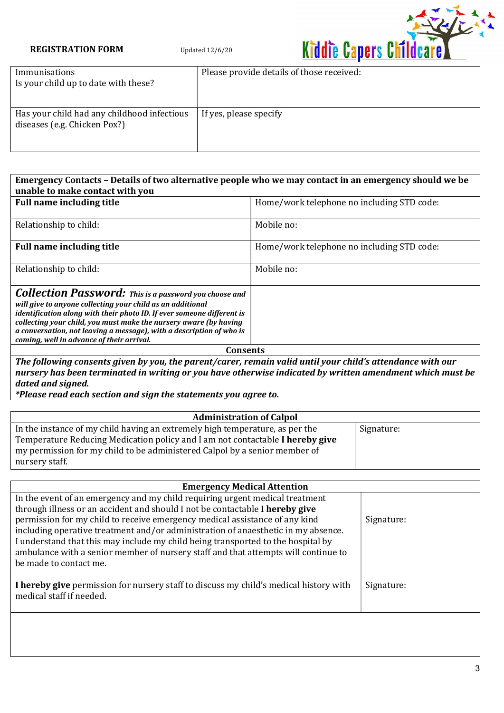

| Immunisations<br>Is your child up to date with these?                       | Please provide details of those received: |
|-----------------------------------------------------------------------------|-------------------------------------------|
| Has your child had any childhood infectious<br>diseases (e.g. Chicken Pox?) | If yes, please specify                    |

| Emergency Contacts – Details of two alternative people who we may contact in an emergency should we be<br>unable to make contact with you                                                                                                                                                                                                                                                       |                                            |  |  |
|-------------------------------------------------------------------------------------------------------------------------------------------------------------------------------------------------------------------------------------------------------------------------------------------------------------------------------------------------------------------------------------------------|--------------------------------------------|--|--|
| <b>Full name including title</b>                                                                                                                                                                                                                                                                                                                                                                | Home/work telephone no including STD code: |  |  |
| Relationship to child:                                                                                                                                                                                                                                                                                                                                                                          | Mobile no:                                 |  |  |
| <b>Full name including title</b>                                                                                                                                                                                                                                                                                                                                                                | Home/work telephone no including STD code: |  |  |
| Relationship to child:                                                                                                                                                                                                                                                                                                                                                                          | Mobile no:                                 |  |  |
| <b>Collection Password:</b> This is a password you choose and<br>will give to anyone collecting your child as an additional<br>identification along with their photo ID. If ever someone different is<br>collecting your child, you must make the nursery aware (by having<br>a conversation, not leaving a message), with a description of who is<br>coming, well in advance of their arrival. |                                            |  |  |
| Consents                                                                                                                                                                                                                                                                                                                                                                                        |                                            |  |  |

The following consents given by you, the parent/carer, remain valid until your child's attendance with our nursery has been terminated in writing or you have otherwise indicated by written amendment which must be dated and signed.

\*Please read each section and sign the statements you agree to.

| <b>Administration of Calpol</b>                                               |            |  |  |
|-------------------------------------------------------------------------------|------------|--|--|
| In the instance of my child having an extremely high temperature, as per the  | Signature: |  |  |
| Temperature Reducing Medication policy and I am not contactable I hereby give |            |  |  |
| my permission for my child to be administered Calpol by a senior member of    |            |  |  |
| nursery staff.                                                                |            |  |  |

| <b>Emergency Medical Attention</b>                                                                                                                                                                                                                                                                                                                                                                                         |            |  |  |
|----------------------------------------------------------------------------------------------------------------------------------------------------------------------------------------------------------------------------------------------------------------------------------------------------------------------------------------------------------------------------------------------------------------------------|------------|--|--|
| In the event of an emergency and my child requiring urgent medical treatment                                                                                                                                                                                                                                                                                                                                               |            |  |  |
| through illness or an accident and should I not be contactable I hereby give<br>permission for my child to receive emergency medical assistance of any kind<br>including operative treatment and/or administration of anaesthetic in my absence.<br>I understand that this may include my child being transported to the hospital by<br>ambulance with a senior member of nursery staff and that attempts will continue to | Signature: |  |  |
| be made to contact me.                                                                                                                                                                                                                                                                                                                                                                                                     |            |  |  |
| I hereby give permission for nursery staff to discuss my child's medical history with<br>medical staff if needed.                                                                                                                                                                                                                                                                                                          | Signature: |  |  |
|                                                                                                                                                                                                                                                                                                                                                                                                                            |            |  |  |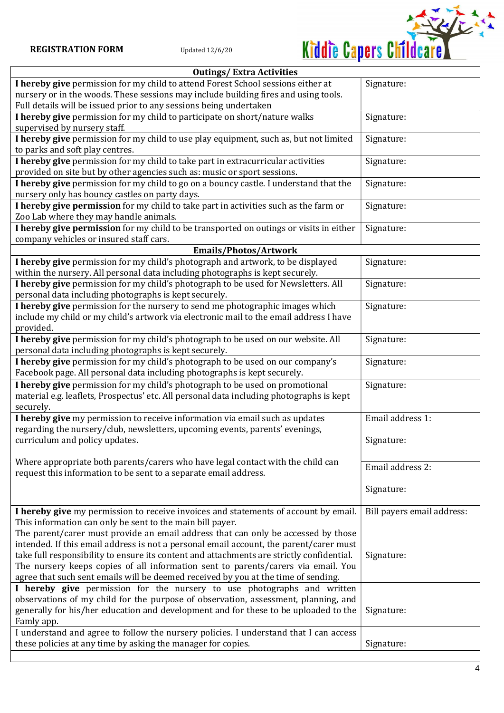

| <b>Outings/Extra Activities</b>                                                                                                                                         |                            |  |  |
|-------------------------------------------------------------------------------------------------------------------------------------------------------------------------|----------------------------|--|--|
| I hereby give permission for my child to attend Forest School sessions either at<br>nursery or in the woods. These sessions may include building fires and using tools. | Signature:                 |  |  |
| Full details will be issued prior to any sessions being undertaken                                                                                                      |                            |  |  |
| I hereby give permission for my child to participate on short/nature walks                                                                                              | Signature:                 |  |  |
| supervised by nursery staff.                                                                                                                                            |                            |  |  |
| I hereby give permission for my child to use play equipment, such as, but not limited                                                                                   | Signature:                 |  |  |
| to parks and soft play centres.                                                                                                                                         |                            |  |  |
| I hereby give permission for my child to take part in extracurricular activities                                                                                        | Signature:                 |  |  |
| provided on site but by other agencies such as: music or sport sessions.                                                                                                |                            |  |  |
| I hereby give permission for my child to go on a bouncy castle. I understand that the<br>nursery only has bouncy castles on party days.                                 | Signature:                 |  |  |
| I hereby give permission for my child to take part in activities such as the farm or                                                                                    | Signature:                 |  |  |
| Zoo Lab where they may handle animals.                                                                                                                                  |                            |  |  |
| I hereby give permission for my child to be transported on outings or visits in either                                                                                  | Signature:                 |  |  |
| company vehicles or insured staff cars.                                                                                                                                 |                            |  |  |
| Emails/Photos/Artwork                                                                                                                                                   |                            |  |  |
| I hereby give permission for my child's photograph and artwork, to be displayed                                                                                         | Signature:                 |  |  |
| within the nursery. All personal data including photographs is kept securely.                                                                                           |                            |  |  |
| I hereby give permission for my child's photograph to be used for Newsletters. All                                                                                      | Signature:                 |  |  |
| personal data including photographs is kept securely.<br>I hereby give permission for the nursery to send me photographic images which                                  | Signature:                 |  |  |
| include my child or my child's artwork via electronic mail to the email address I have                                                                                  |                            |  |  |
| provided.                                                                                                                                                               |                            |  |  |
| I hereby give permission for my child's photograph to be used on our website. All                                                                                       | Signature:                 |  |  |
| personal data including photographs is kept securely.                                                                                                                   |                            |  |  |
| I hereby give permission for my child's photograph to be used on our company's                                                                                          | Signature:                 |  |  |
| Facebook page. All personal data including photographs is kept securely.                                                                                                |                            |  |  |
| I hereby give permission for my child's photograph to be used on promotional                                                                                            | Signature:                 |  |  |
| material e.g. leaflets, Prospectus' etc. All personal data including photographs is kept                                                                                |                            |  |  |
| securely.<br>I hereby give my permission to receive information via email such as updates                                                                               | Email address 1:           |  |  |
| regarding the nursery/club, newsletters, upcoming events, parents' evenings,                                                                                            |                            |  |  |
| curriculum and policy updates.                                                                                                                                          | Signature:                 |  |  |
|                                                                                                                                                                         |                            |  |  |
| Where appropriate both parents/carers who have legal contact with the child can                                                                                         | Email address 2:           |  |  |
| request this information to be sent to a separate email address.                                                                                                        |                            |  |  |
|                                                                                                                                                                         | Signature:                 |  |  |
|                                                                                                                                                                         |                            |  |  |
| I hereby give my permission to receive invoices and statements of account by email.                                                                                     | Bill payers email address: |  |  |
| This information can only be sent to the main bill payer.                                                                                                               |                            |  |  |
| The parent/carer must provide an email address that can only be accessed by those                                                                                       |                            |  |  |
| intended. If this email address is not a personal email account, the parent/carer must                                                                                  |                            |  |  |
| take full responsibility to ensure its content and attachments are strictly confidential.                                                                               | Signature:                 |  |  |
| The nursery keeps copies of all information sent to parents/carers via email. You<br>agree that such sent emails will be deemed received by you at the time of sending. |                            |  |  |
| I hereby give permission for the nursery to use photographs and written                                                                                                 |                            |  |  |
| observations of my child for the purpose of observation, assessment, planning, and                                                                                      |                            |  |  |
| generally for his/her education and development and for these to be uploaded to the                                                                                     | Signature:                 |  |  |
| Famly app.                                                                                                                                                              |                            |  |  |
| I understand and agree to follow the nursery policies. I understand that I can access                                                                                   |                            |  |  |
| these policies at any time by asking the manager for copies.                                                                                                            | Signature:                 |  |  |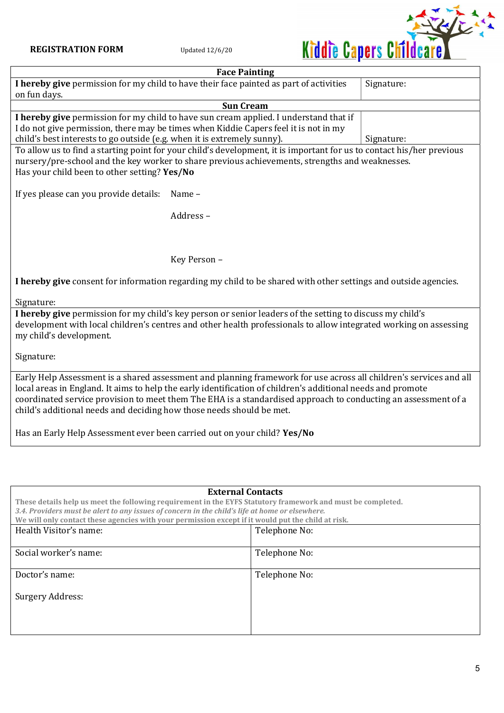

| <b>Face Painting</b>                                                                                               |                                                                                                                       |            |  |  |
|--------------------------------------------------------------------------------------------------------------------|-----------------------------------------------------------------------------------------------------------------------|------------|--|--|
|                                                                                                                    | I hereby give permission for my child to have their face painted as part of activities                                | Signature: |  |  |
| on fun days.                                                                                                       |                                                                                                                       |            |  |  |
|                                                                                                                    | <b>Sun Cream</b>                                                                                                      |            |  |  |
|                                                                                                                    | I hereby give permission for my child to have sun cream applied. I understand that if                                 |            |  |  |
|                                                                                                                    | I do not give permission, there may be times when Kiddie Capers feel it is not in my                                  |            |  |  |
| child's best interests to go outside (e.g. when it is extremely sunny).                                            |                                                                                                                       | Signature: |  |  |
|                                                                                                                    | To allow us to find a starting point for your child's development, it is important for us to contact his/her previous |            |  |  |
|                                                                                                                    | nursery/pre-school and the key worker to share previous achievements, strengths and weaknesses.                       |            |  |  |
| Has your child been to other setting? Yes/No                                                                       |                                                                                                                       |            |  |  |
|                                                                                                                    |                                                                                                                       |            |  |  |
| If yes please can you provide details:                                                                             | Name-                                                                                                                 |            |  |  |
|                                                                                                                    |                                                                                                                       |            |  |  |
|                                                                                                                    | Address-                                                                                                              |            |  |  |
|                                                                                                                    |                                                                                                                       |            |  |  |
|                                                                                                                    |                                                                                                                       |            |  |  |
|                                                                                                                    |                                                                                                                       |            |  |  |
|                                                                                                                    | Key Person -                                                                                                          |            |  |  |
| I hereby give consent for information regarding my child to be shared with other settings and outside agencies.    |                                                                                                                       |            |  |  |
| Signature:                                                                                                         |                                                                                                                       |            |  |  |
| I hereby give permission for my child's key person or senior leaders of the setting to discuss my child's          |                                                                                                                       |            |  |  |
|                                                                                                                    | development with local children's centres and other health professionals to allow integrated working on assessing     |            |  |  |
| my child's development.                                                                                            |                                                                                                                       |            |  |  |
|                                                                                                                    |                                                                                                                       |            |  |  |
| Signature:                                                                                                         |                                                                                                                       |            |  |  |
|                                                                                                                    |                                                                                                                       |            |  |  |
| Early Help Assessment is a shared assessment and planning framework for use across all children's services and all |                                                                                                                       |            |  |  |
| local areas in England. It aims to help the early identification of children's additional needs and promote        |                                                                                                                       |            |  |  |
| coordinated service provision to meet them The EHA is a standardised approach to conducting an assessment of a     |                                                                                                                       |            |  |  |
| child's additional needs and deciding how those needs should be met.                                               |                                                                                                                       |            |  |  |
|                                                                                                                    |                                                                                                                       |            |  |  |
| Has an Early Help Assessment ever been carried out on your child? Yes/No                                           |                                                                                                                       |            |  |  |
|                                                                                                                    |                                                                                                                       |            |  |  |

| <b>External Contacts</b>                                                                                    |               |  |  |  |
|-------------------------------------------------------------------------------------------------------------|---------------|--|--|--|
| These details help us meet the following requirement in the EYFS Statutory framework and must be completed. |               |  |  |  |
| 3.4. Providers must be alert to any issues of concern in the child's life at home or elsewhere.             |               |  |  |  |
| We will only contact these agencies with your permission except if it would put the child at risk.          |               |  |  |  |
| Health Visitor's name:<br>Telephone No:                                                                     |               |  |  |  |
|                                                                                                             |               |  |  |  |
| Social worker's name:                                                                                       | Telephone No: |  |  |  |
|                                                                                                             |               |  |  |  |
| Telephone No:<br>Doctor's name:                                                                             |               |  |  |  |
|                                                                                                             |               |  |  |  |
| Surgery Address:                                                                                            |               |  |  |  |
|                                                                                                             |               |  |  |  |
|                                                                                                             |               |  |  |  |
|                                                                                                             |               |  |  |  |
|                                                                                                             |               |  |  |  |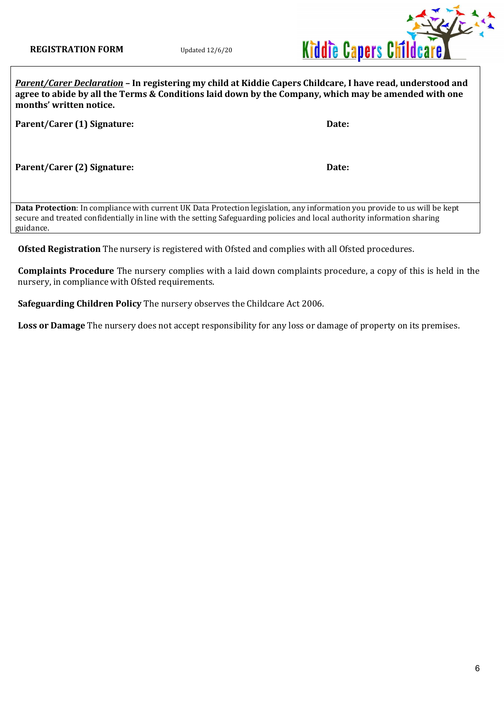

Parent/Carer Declaration - In registering my child at Kiddie Capers Childcare, I have read, understood and agree to abide by all the Terms & Conditions laid down by the Company, which may be amended with one months' written notice.

Parent/Carer (1) Signature:  $\qquad \qquad$  Date:

Parent/Carer (2) Signature: Date:

Data Protection: In compliance with current UK Data Protection legislation, any information you provide to us will be kept secure and treated confidentially in line with the setting Safeguarding policies and local authority information sharing guidance.

Ofsted Registration The nursery is registered with Ofsted and complies with all Ofsted procedures.

Complaints Procedure The nursery complies with a laid down complaints procedure, a copy of this is held in the nursery, in compliance with Ofsted requirements.

Safeguarding Children Policy The nursery observes the Childcare Act 2006.

Loss or Damage The nursery does not accept responsibility for any loss or damage of property on its premises.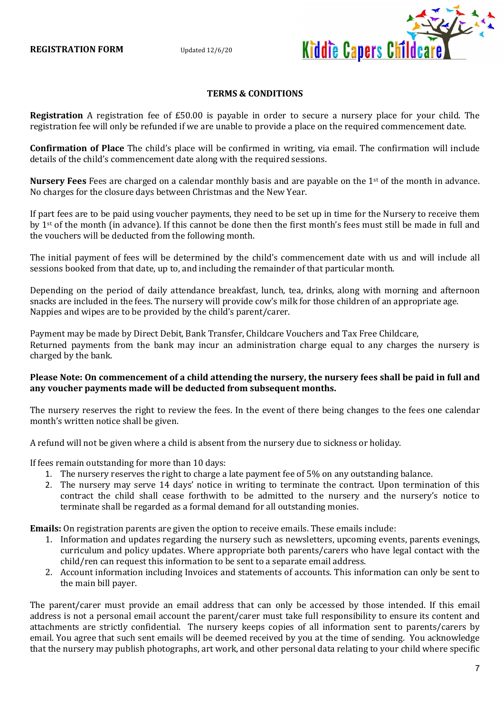

#### TERMS & CONDITIONS

Registration A registration fee of £50.00 is payable in order to secure a nursery place for your child. The registration fee will only be refunded if we are unable to provide a place on the required commencement date.

Confirmation of Place The child's place will be confirmed in writing, via email. The confirmation will include details of the child's commencement date along with the required sessions.

Nursery Fees Fees are charged on a calendar monthly basis and are payable on the 1<sup>st</sup> of the month in advance. No charges for the closure days between Christmas and the New Year.

If part fees are to be paid using voucher payments, they need to be set up in time for the Nursery to receive them by 1<sup>st</sup> of the month (in advance). If this cannot be done then the first month's fees must still be made in full and the vouchers will be deducted from the following month.

The initial payment of fees will be determined by the child's commencement date with us and will include all sessions booked from that date, up to, and including the remainder of that particular month.

Depending on the period of daily attendance breakfast, lunch, tea, drinks, along with morning and afternoon snacks are included in the fees. The nursery will provide cow's milk for those children of an appropriate age. Nappies and wipes are to be provided by the child's parent/carer.

Payment may be made by Direct Debit, Bank Transfer, Childcare Vouchers and Tax Free Childcare, Returned payments from the bank may incur an administration charge equal to any charges the nursery is charged by the bank.

# Please Note: On commencement of a child attending the nursery, the nursery fees shall be paid in full and any voucher payments made will be deducted from subsequent months.

The nursery reserves the right to review the fees. In the event of there being changes to the fees one calendar month's written notice shall be given.

A refund will not be given where a child is absent from the nursery due to sickness or holiday.

If fees remain outstanding for more than 10 days:

- 1. The nursery reserves the right to charge a late payment fee of 5% on any outstanding balance.
- 2. The nursery may serve 14 days' notice in writing to terminate the contract. Upon termination of this contract the child shall cease forthwith to be admitted to the nursery and the nursery's notice to terminate shall be regarded as a formal demand for all outstanding monies.

Emails: On registration parents are given the option to receive emails. These emails include:

- 1. Information and updates regarding the nursery such as newsletters, upcoming events, parents evenings, curriculum and policy updates. Where appropriate both parents/carers who have legal contact with the child/ren can request this information to be sent to a separate email address.
- 2. Account information including Invoices and statements of accounts. This information can only be sent to the main bill payer.

The parent/carer must provide an email address that can only be accessed by those intended. If this email address is not a personal email account the parent/carer must take full responsibility to ensure its content and attachments are strictly confidential. The nursery keeps copies of all information sent to parents/carers by email. You agree that such sent emails will be deemed received by you at the time of sending. You acknowledge that the nursery may publish photographs, art work, and other personal data relating to your child where specific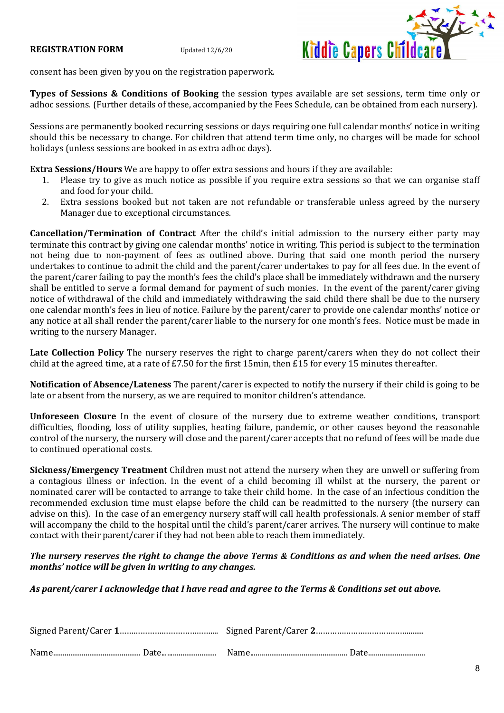

consent has been given by you on the registration paperwork.

Types of Sessions & Conditions of Booking the session types available are set sessions, term time only or adhoc sessions. (Further details of these, accompanied by the Fees Schedule, can be obtained from each nursery).

Sessions are permanently booked recurring sessions or days requiring one full calendar months' notice in writing should this be necessary to change. For children that attend term time only, no charges will be made for school holidays (unless sessions are booked in as extra adhoc days).

Extra Sessions/Hours We are happy to offer extra sessions and hours if they are available:

- 1. Please try to give as much notice as possible if you require extra sessions so that we can organise staff and food for your child.
- 2. Extra sessions booked but not taken are not refundable or transferable unless agreed by the nursery Manager due to exceptional circumstances.

Cancellation/Termination of Contract After the child's initial admission to the nursery either party may terminate this contract by giving one calendar months' notice in writing. This period is subject to the termination not being due to non-payment of fees as outlined above. During that said one month period the nursery undertakes to continue to admit the child and the parent/carer undertakes to pay for all fees due. In the event of the parent/carer failing to pay the month's fees the child's place shall be immediately withdrawn and the nursery shall be entitled to serve a formal demand for payment of such monies. In the event of the parent/carer giving notice of withdrawal of the child and immediately withdrawing the said child there shall be due to the nursery one calendar month's fees in lieu of notice. Failure by the parent/carer to provide one calendar months' notice or any notice at all shall render the parent/carer liable to the nursery for one month's fees. Notice must be made in writing to the nursery Manager.

Late Collection Policy The nursery reserves the right to charge parent/carers when they do not collect their child at the agreed time, at a rate of £7.50 for the first 15min, then £15 for every 15 minutes thereafter.

Notification of Absence/Lateness The parent/carer is expected to notify the nursery if their child is going to be late or absent from the nursery, as we are required to monitor children's attendance.

Unforeseen Closure In the event of closure of the nursery due to extreme weather conditions, transport difficulties, flooding, loss of utility supplies, heating failure, pandemic, or other causes beyond the reasonable control of the nursery, the nursery will close and the parent/carer accepts that no refund of fees will be made due to continued operational costs.

Sickness/Emergency Treatment Children must not attend the nursery when they are unwell or suffering from a contagious illness or infection. In the event of a child becoming ill whilst at the nursery, the parent or nominated carer will be contacted to arrange to take their child home. In the case of an infectious condition the recommended exclusion time must elapse before the child can be readmitted to the nursery (the nursery can advise on this). In the case of an emergency nursery staff will call health professionals. A senior member of staff will accompany the child to the hospital until the child's parent/carer arrives. The nursery will continue to make contact with their parent/carer if they had not been able to reach them immediately.

The nursery reserves the right to change the above Terms & Conditions as and when the need arises. One months' notice will be given in writing to any changes.

As parent/carer I acknowledge that I have read and agree to the Terms & Conditions set out above.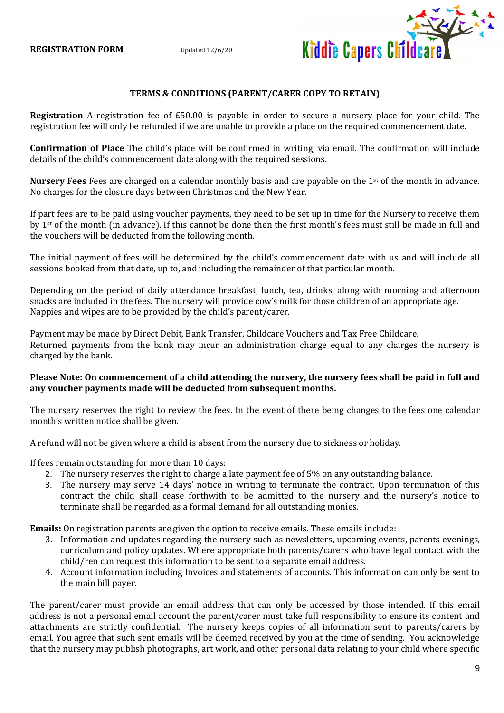

# TERMS & CONDITIONS (PARENT/CARER COPY TO RETAIN)

Registration A registration fee of £50.00 is payable in order to secure a nursery place for your child. The registration fee will only be refunded if we are unable to provide a place on the required commencement date.

Confirmation of Place The child's place will be confirmed in writing, via email. The confirmation will include details of the child's commencement date along with the required sessions.

Nursery Fees Fees are charged on a calendar monthly basis and are payable on the 1<sup>st</sup> of the month in advance. No charges for the closure days between Christmas and the New Year.

If part fees are to be paid using voucher payments, they need to be set up in time for the Nursery to receive them by 1<sup>st</sup> of the month (in advance). If this cannot be done then the first month's fees must still be made in full and the vouchers will be deducted from the following month.

The initial payment of fees will be determined by the child's commencement date with us and will include all sessions booked from that date, up to, and including the remainder of that particular month.

Depending on the period of daily attendance breakfast, lunch, tea, drinks, along with morning and afternoon snacks are included in the fees. The nursery will provide cow's milk for those children of an appropriate age. Nappies and wipes are to be provided by the child's parent/carer.

Payment may be made by Direct Debit, Bank Transfer, Childcare Vouchers and Tax Free Childcare, Returned payments from the bank may incur an administration charge equal to any charges the nursery is charged by the bank.

# Please Note: On commencement of a child attending the nursery, the nursery fees shall be paid in full and any voucher payments made will be deducted from subsequent months.

The nursery reserves the right to review the fees. In the event of there being changes to the fees one calendar month's written notice shall be given.

A refund will not be given where a child is absent from the nursery due to sickness or holiday.

If fees remain outstanding for more than 10 days:

- 2. The nursery reserves the right to charge a late payment fee of 5% on any outstanding balance.
- 3. The nursery may serve 14 days' notice in writing to terminate the contract. Upon termination of this contract the child shall cease forthwith to be admitted to the nursery and the nursery's notice to terminate shall be regarded as a formal demand for all outstanding monies.

Emails: On registration parents are given the option to receive emails. These emails include:

- 3. Information and updates regarding the nursery such as newsletters, upcoming events, parents evenings, curriculum and policy updates. Where appropriate both parents/carers who have legal contact with the child/ren can request this information to be sent to a separate email address.
- 4. Account information including Invoices and statements of accounts. This information can only be sent to the main bill payer.

The parent/carer must provide an email address that can only be accessed by those intended. If this email address is not a personal email account the parent/carer must take full responsibility to ensure its content and attachments are strictly confidential. The nursery keeps copies of all information sent to parents/carers by email. You agree that such sent emails will be deemed received by you at the time of sending. You acknowledge that the nursery may publish photographs, art work, and other personal data relating to your child where specific